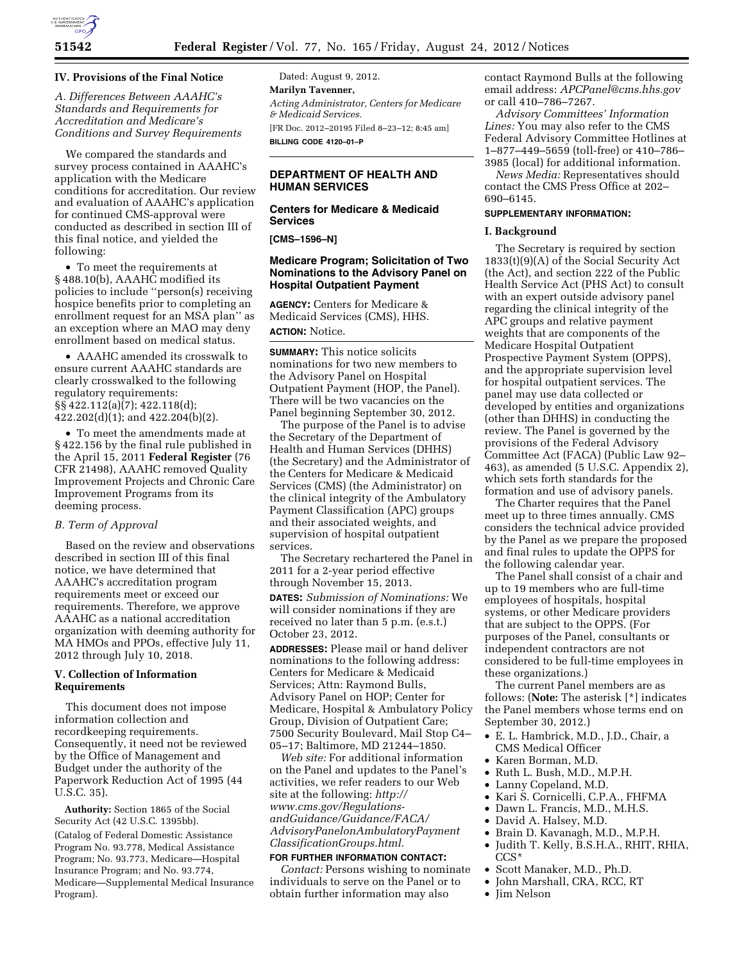

## **IV. Provisions of the Final Notice**

*A. Differences Between AAAHC's Standards and Requirements for Accreditation and Medicare's Conditions and Survey Requirements* 

We compared the standards and survey process contained in AAAHC's application with the Medicare conditions for accreditation. Our review and evaluation of AAAHC's application for continued CMS-approval were conducted as described in section III of this final notice, and yielded the following:

• To meet the requirements at § 488.10(b), AAAHC modified its policies to include ''person(s) receiving hospice benefits prior to completing an enrollment request for an MSA plan'' as an exception where an MAO may deny enrollment based on medical status.

• AAAHC amended its crosswalk to ensure current AAAHC standards are clearly crosswalked to the following regulatory requirements: §§ 422.112(a)(7); 422.118(d); 422.202(d)(1); and 422.204(b)(2).

• To meet the amendments made at § 422.156 by the final rule published in the April 15, 2011 **Federal Register** (76 CFR 21498), AAAHC removed Quality Improvement Projects and Chronic Care Improvement Programs from its deeming process.

#### *B. Term of Approval*

Based on the review and observations described in section III of this final notice, we have determined that AAAHC's accreditation program requirements meet or exceed our requirements. Therefore, we approve AAAHC as a national accreditation organization with deeming authority for MA HMOs and PPOs, effective July 11, 2012 through July 10, 2018.

# **V. Collection of Information Requirements**

This document does not impose information collection and recordkeeping requirements. Consequently, it need not be reviewed by the Office of Management and Budget under the authority of the Paperwork Reduction Act of 1995 (44 U.S.C. 35).

**Authority:** Section 1865 of the Social Security Act (42 U.S.C. 1395bb).

(Catalog of Federal Domestic Assistance Program No. 93.778, Medical Assistance Program; No. 93.773, Medicare—Hospital Insurance Program; and No. 93.774, Medicare—Supplemental Medical Insurance Program).

Dated: August 9, 2012. **Marilyn Tavenner,**  *Acting Administrator, Centers for Medicare & Medicaid Services.*  [FR Doc. 2012–20195 Filed 8–23–12; 8:45 am] **BILLING CODE 4120–01–P** 

# **DEPARTMENT OF HEALTH AND HUMAN SERVICES**

# **Centers for Medicare & Medicaid Services**

**[CMS–1596–N]** 

## **Medicare Program; Solicitation of Two Nominations to the Advisory Panel on Hospital Outpatient Payment**

**AGENCY:** Centers for Medicare & Medicaid Services (CMS), HHS. **ACTION:** Notice.

**SUMMARY:** This notice solicits nominations for two new members to the Advisory Panel on Hospital Outpatient Payment (HOP, the Panel). There will be two vacancies on the Panel beginning September 30, 2012.

The purpose of the Panel is to advise the Secretary of the Department of Health and Human Services (DHHS) (the Secretary) and the Administrator of the Centers for Medicare & Medicaid Services (CMS) (the Administrator) on the clinical integrity of the Ambulatory Payment Classification (APC) groups and their associated weights, and supervision of hospital outpatient services.

The Secretary rechartered the Panel in 2011 for a 2-year period effective through November 15, 2013.

**DATES:** *Submission of Nominations:* We will consider nominations if they are received no later than 5 p.m. (e.s.t.) October 23, 2012.

**ADDRESSES:** Please mail or hand deliver nominations to the following address: Centers for Medicare & Medicaid Services; Attn: Raymond Bulls, Advisory Panel on HOP; Center for Medicare, Hospital & Ambulatory Policy Group, Division of Outpatient Care; 7500 Security Boulevard, Mail Stop C4– 05–17; Baltimore, MD 21244–1850.

*Web site:* For additional information on the Panel and updates to the Panel's activities, we refer readers to our Web site at the following: *[http://](http://www.cms.gov/Regulations-andGuidance/Guidance/FACA/AdvisoryPanelonAmbulatoryPaymentClassificationGroups.html) [www.cms.gov/Regulations](http://www.cms.gov/Regulations-andGuidance/Guidance/FACA/AdvisoryPanelonAmbulatoryPaymentClassificationGroups.html)[andGuidance/Guidance/FACA/](http://www.cms.gov/Regulations-andGuidance/Guidance/FACA/AdvisoryPanelonAmbulatoryPaymentClassificationGroups.html) [AdvisoryPanelonAmbulatoryPayment](http://www.cms.gov/Regulations-andGuidance/Guidance/FACA/AdvisoryPanelonAmbulatoryPaymentClassificationGroups.html) [ClassificationGroups.html.](http://www.cms.gov/Regulations-andGuidance/Guidance/FACA/AdvisoryPanelonAmbulatoryPaymentClassificationGroups.html)* 

#### **FOR FURTHER INFORMATION CONTACT:**

*Contact:* Persons wishing to nominate individuals to serve on the Panel or to obtain further information may also

contact Raymond Bulls at the following email address: *[APCPanel@cms.hhs.gov](mailto:APCPanel@cms.hhs.gov)*  or call 410–786–7267.

*Advisory Committees' Information Lines:* You may also refer to the CMS Federal Advisory Committee Hotlines at 1–877–449–5659 (toll-free) or 410–786– 3985 (local) for additional information.

*News Media:* Representatives should contact the CMS Press Office at 202– 690–6145.

# **SUPPLEMENTARY INFORMATION:**

### **I. Background**

The Secretary is required by section 1833(t)(9)(A) of the Social Security Act (the Act), and section 222 of the Public Health Service Act (PHS Act) to consult with an expert outside advisory panel regarding the clinical integrity of the APC groups and relative payment weights that are components of the Medicare Hospital Outpatient Prospective Payment System (OPPS), and the appropriate supervision level for hospital outpatient services. The panel may use data collected or developed by entities and organizations (other than DHHS) in conducting the review. The Panel is governed by the provisions of the Federal Advisory Committee Act (FACA) (Public Law 92– 463), as amended (5 U.S.C. Appendix 2), which sets forth standards for the formation and use of advisory panels.

The Charter requires that the Panel meet up to three times annually. CMS considers the technical advice provided by the Panel as we prepare the proposed and final rules to update the OPPS for the following calendar year.

The Panel shall consist of a chair and up to 19 members who are full-time employees of hospitals, hospital systems, or other Medicare providers that are subject to the OPPS. (For purposes of the Panel, consultants or independent contractors are not considered to be full-time employees in these organizations.)

The current Panel members are as follows: (**Note:** The asterisk [\*] indicates the Panel members whose terms end on September 30, 2012.)

- E. L. Hambrick, M.D., J.D., Chair, a CMS Medical Officer
- Karen Borman, M.D.
	- Ruth L. Bush, M.D., M.P.H.
	- Lanny Copeland, M.D.
	- Kari S. Cornicelli, C.P.A., FHFMA
	- Dawn L. Francis, M.D., M.H.S.
	- David A. Halsey, M.D.
	- Brain D. Kavanagh, M.D., M.P.H.
	- Judith T. Kelly, B.S.H.A., RHIT, RHIA, CCS\*
	- Scott Manaker, M.D., Ph.D.
	- John Marshall, CRA, RCC, RT
	- Jim Nelson